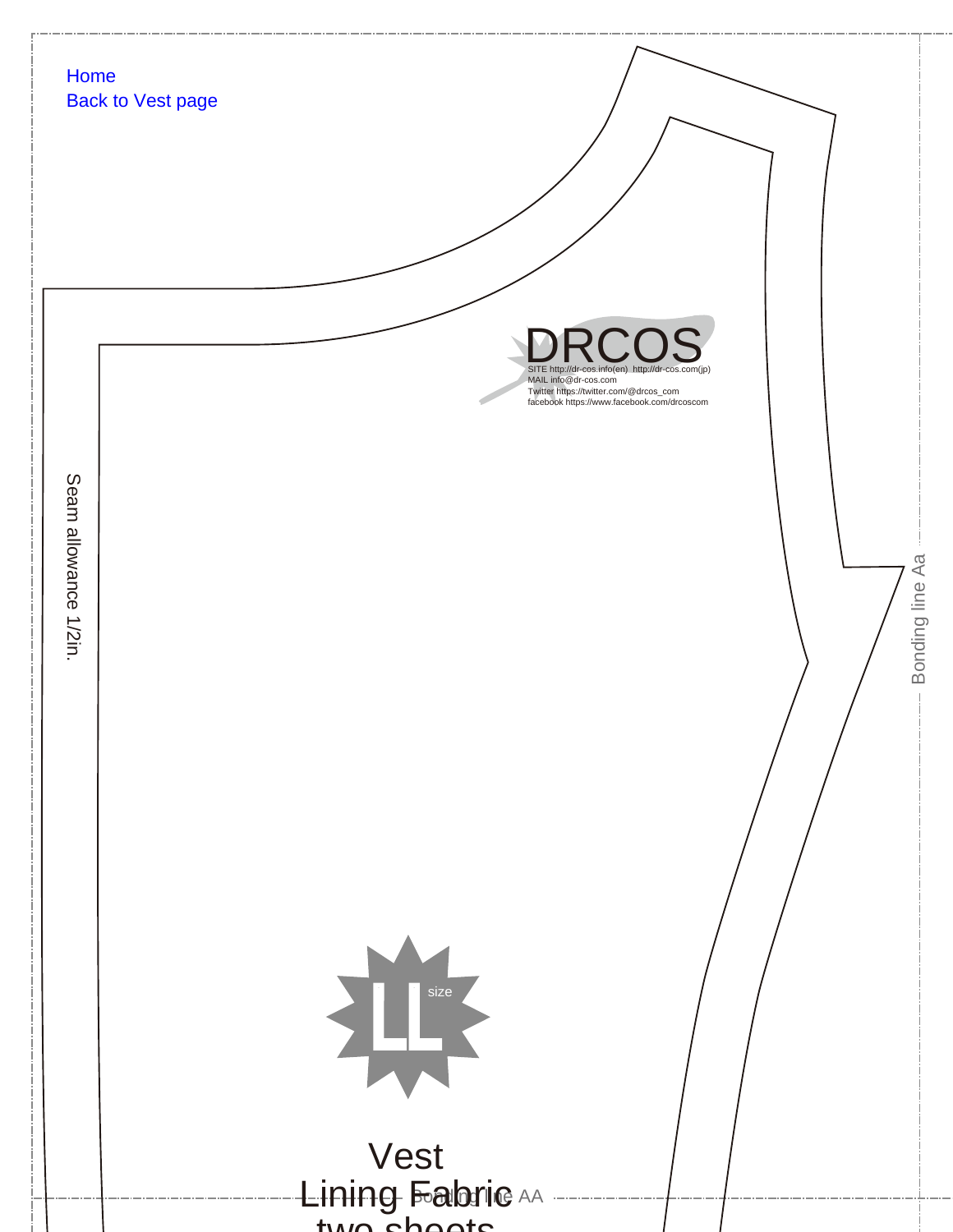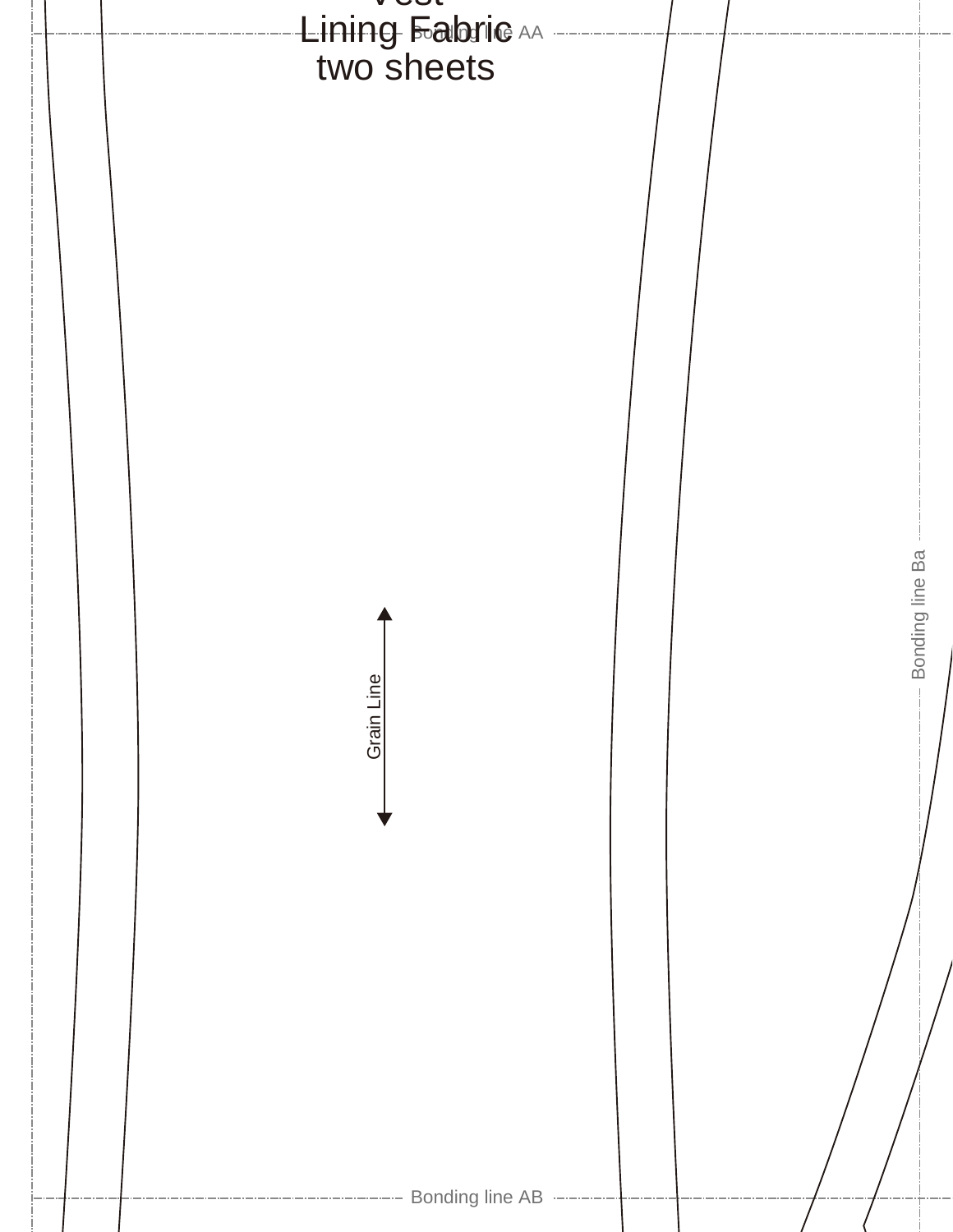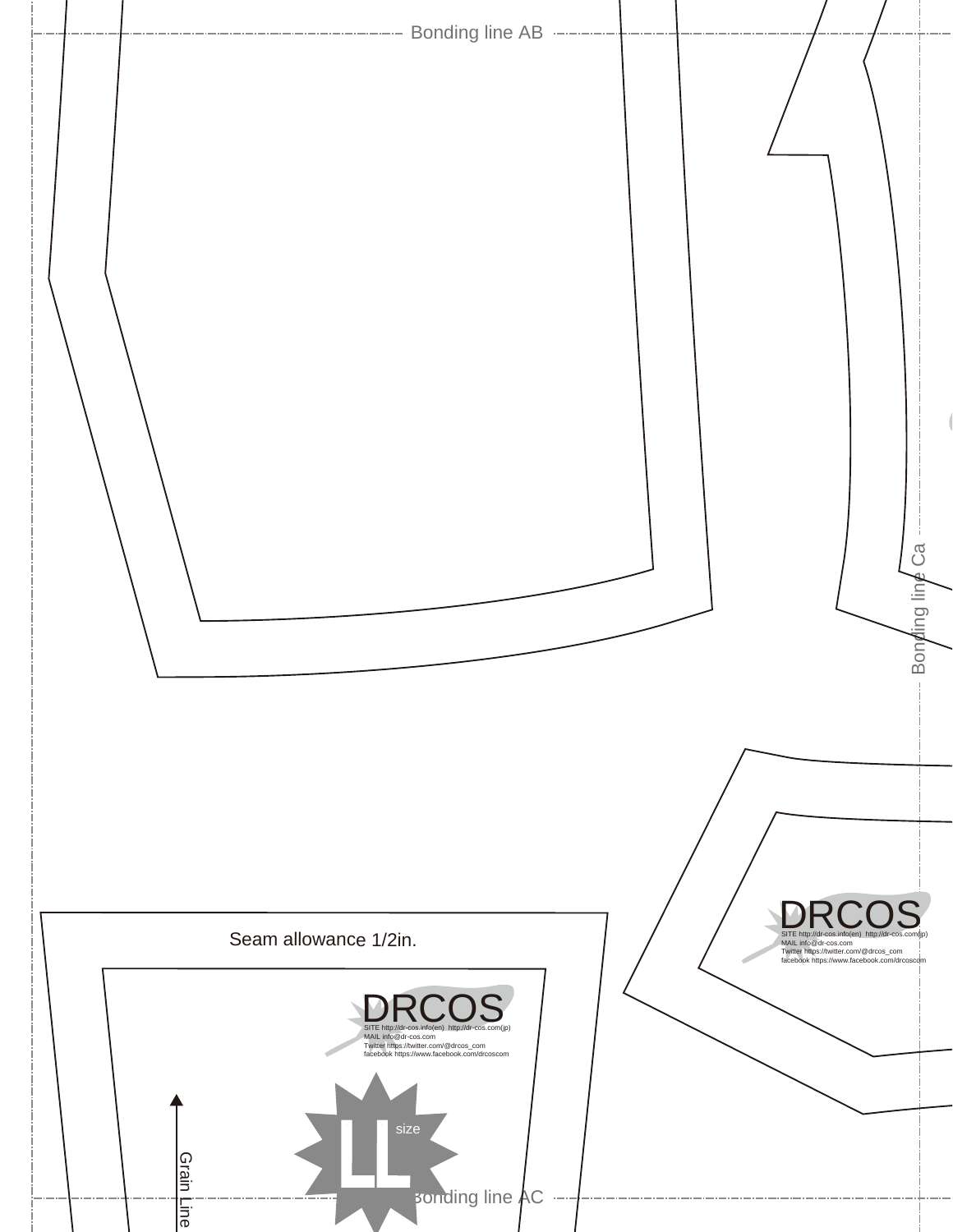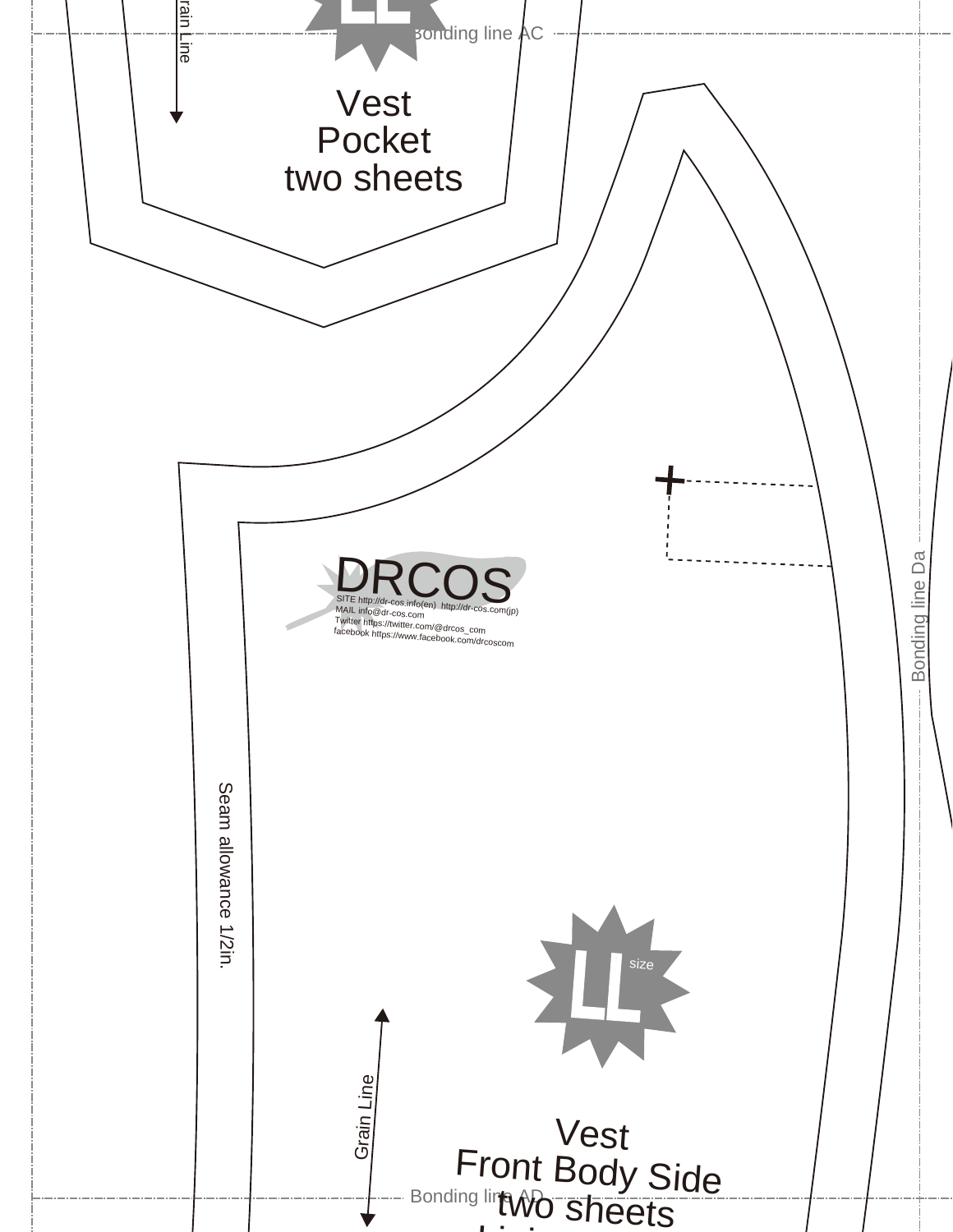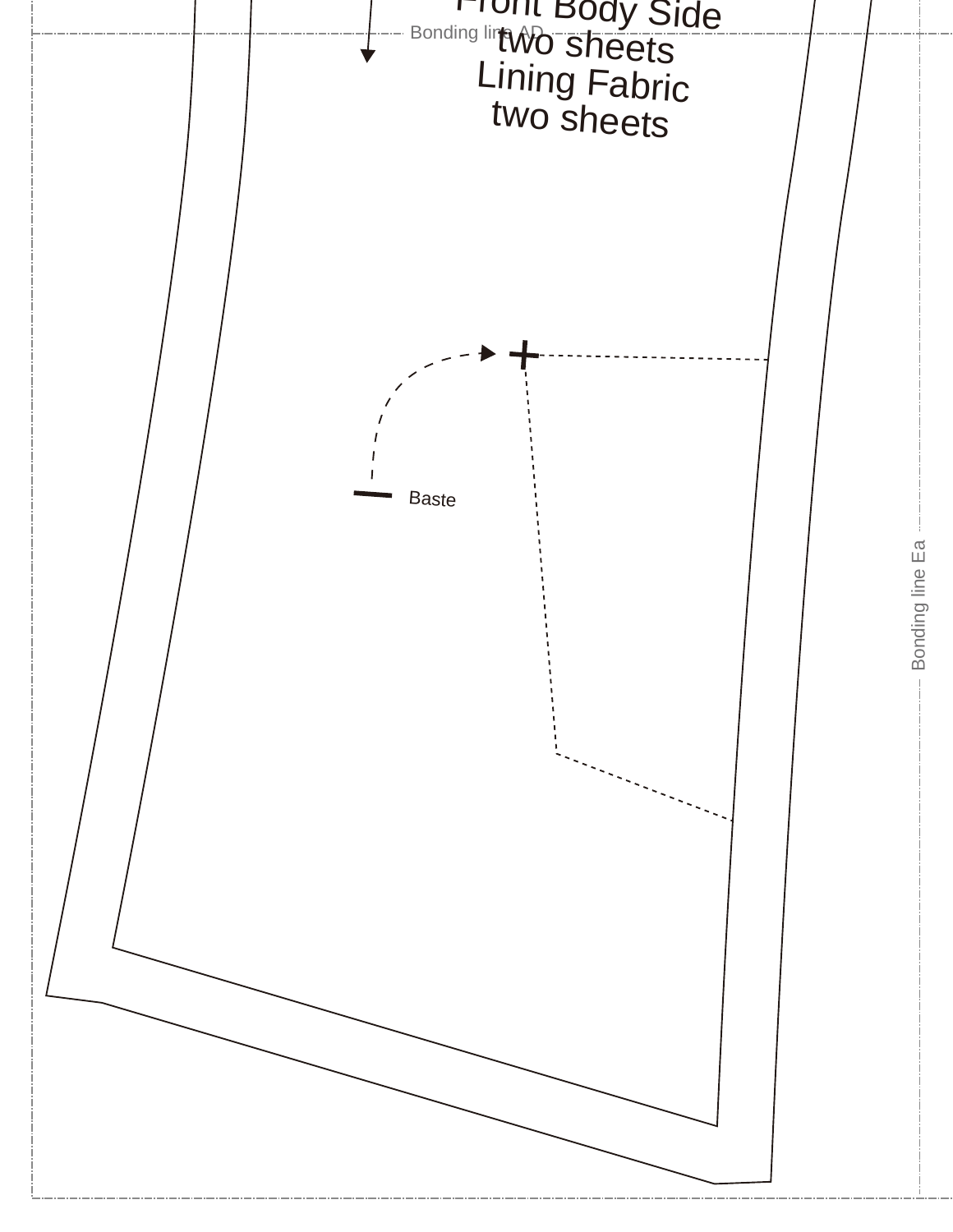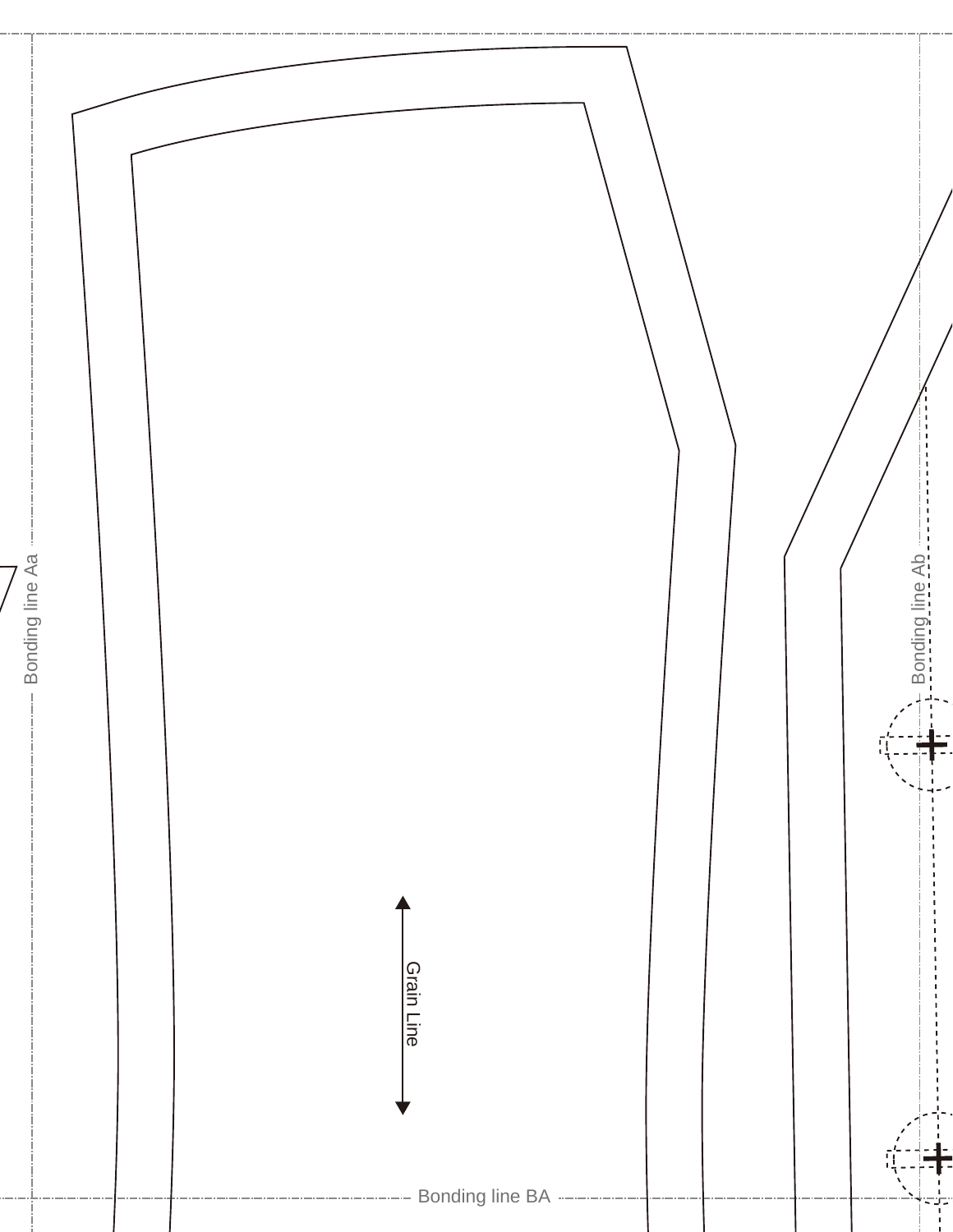![](_page_5_Picture_0.jpeg)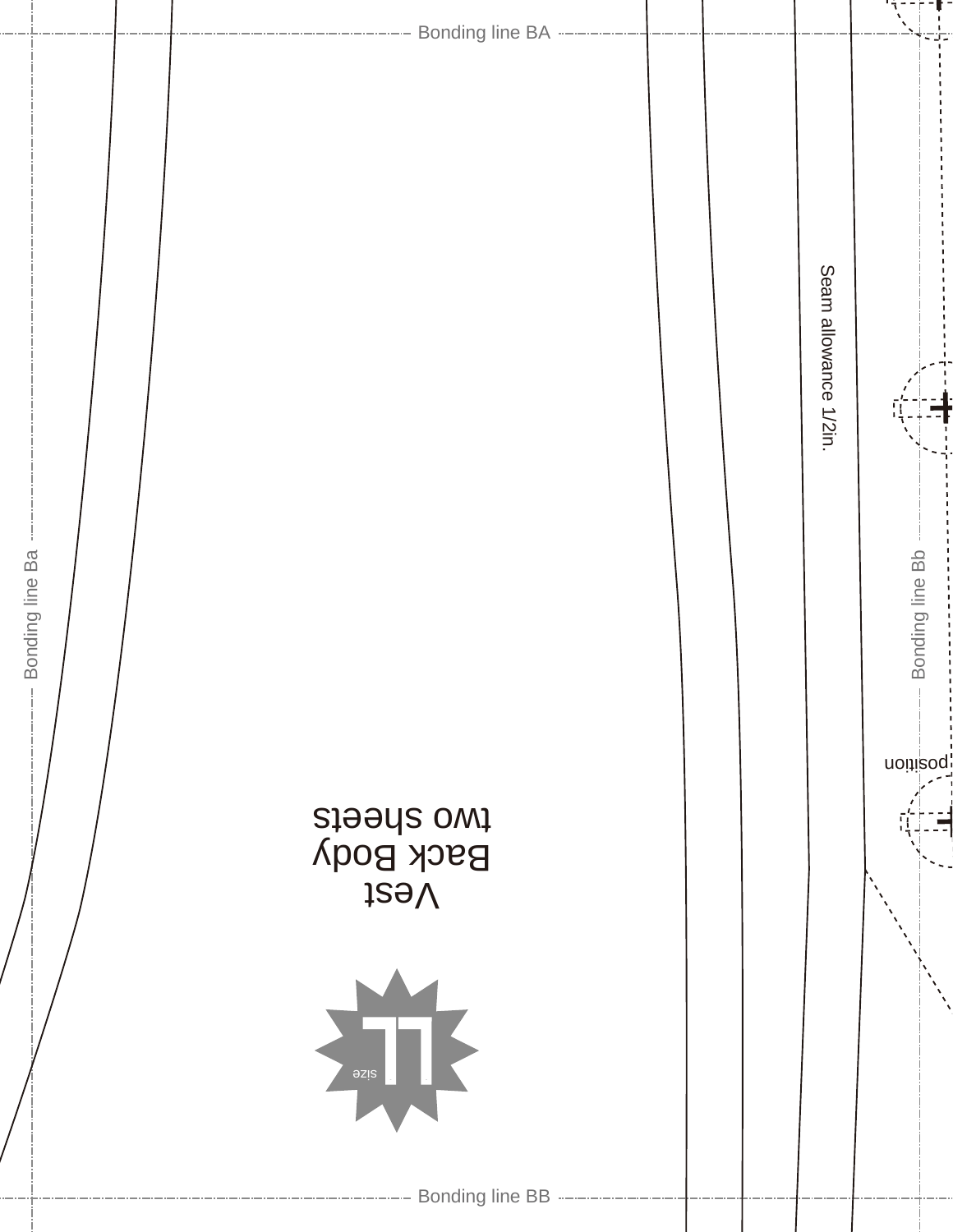![](_page_6_Figure_0.jpeg)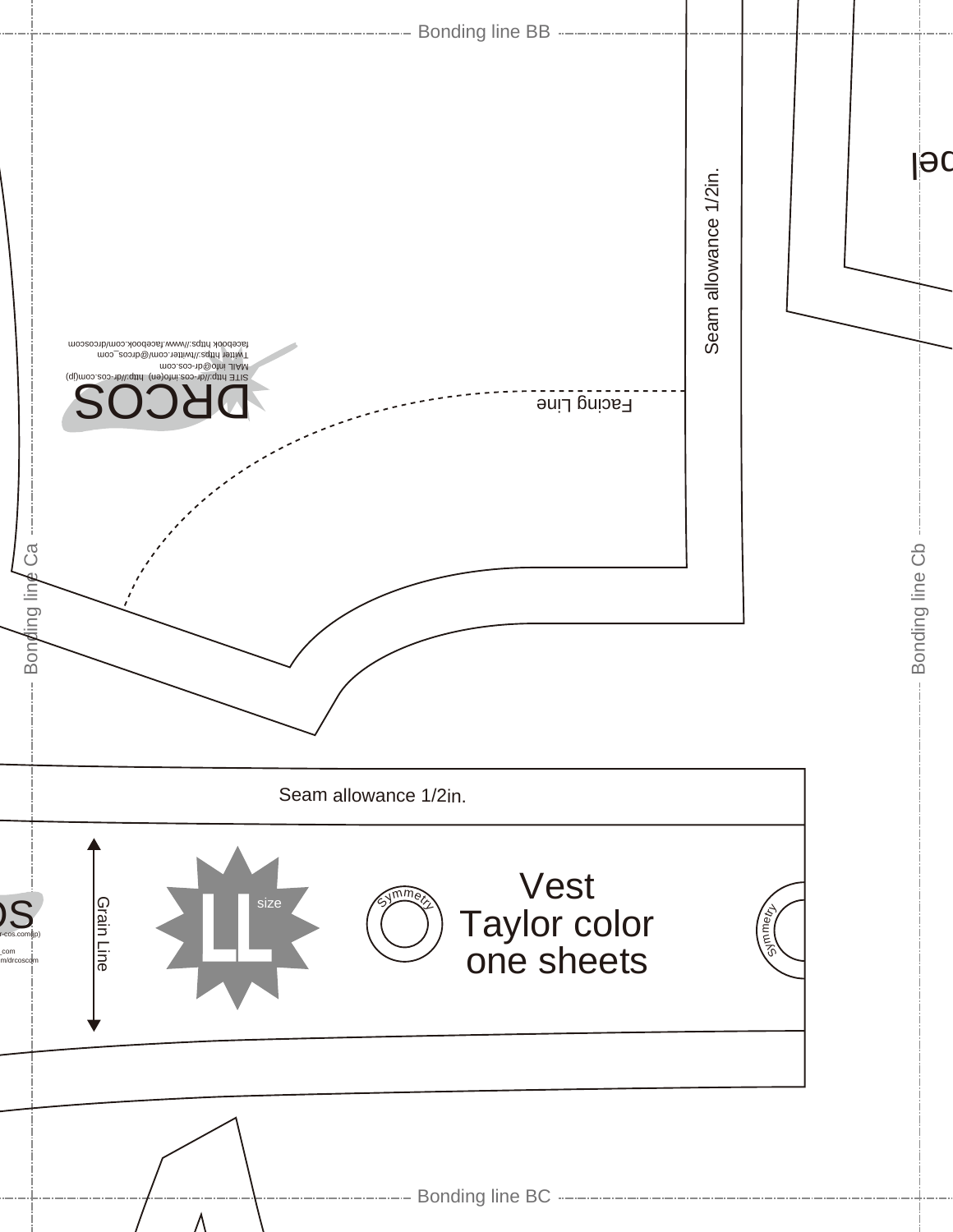![](_page_7_Figure_0.jpeg)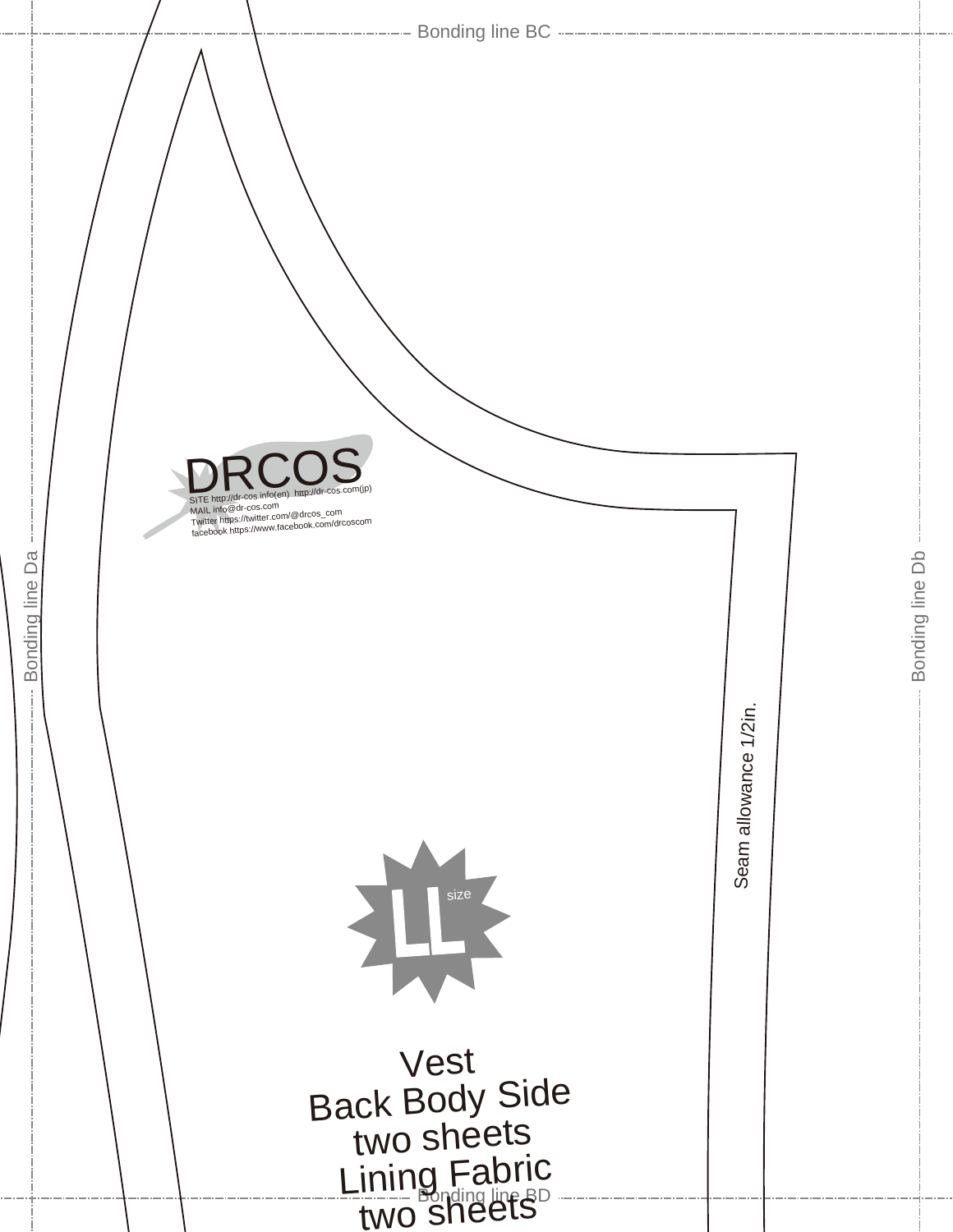![](_page_8_Picture_0.jpeg)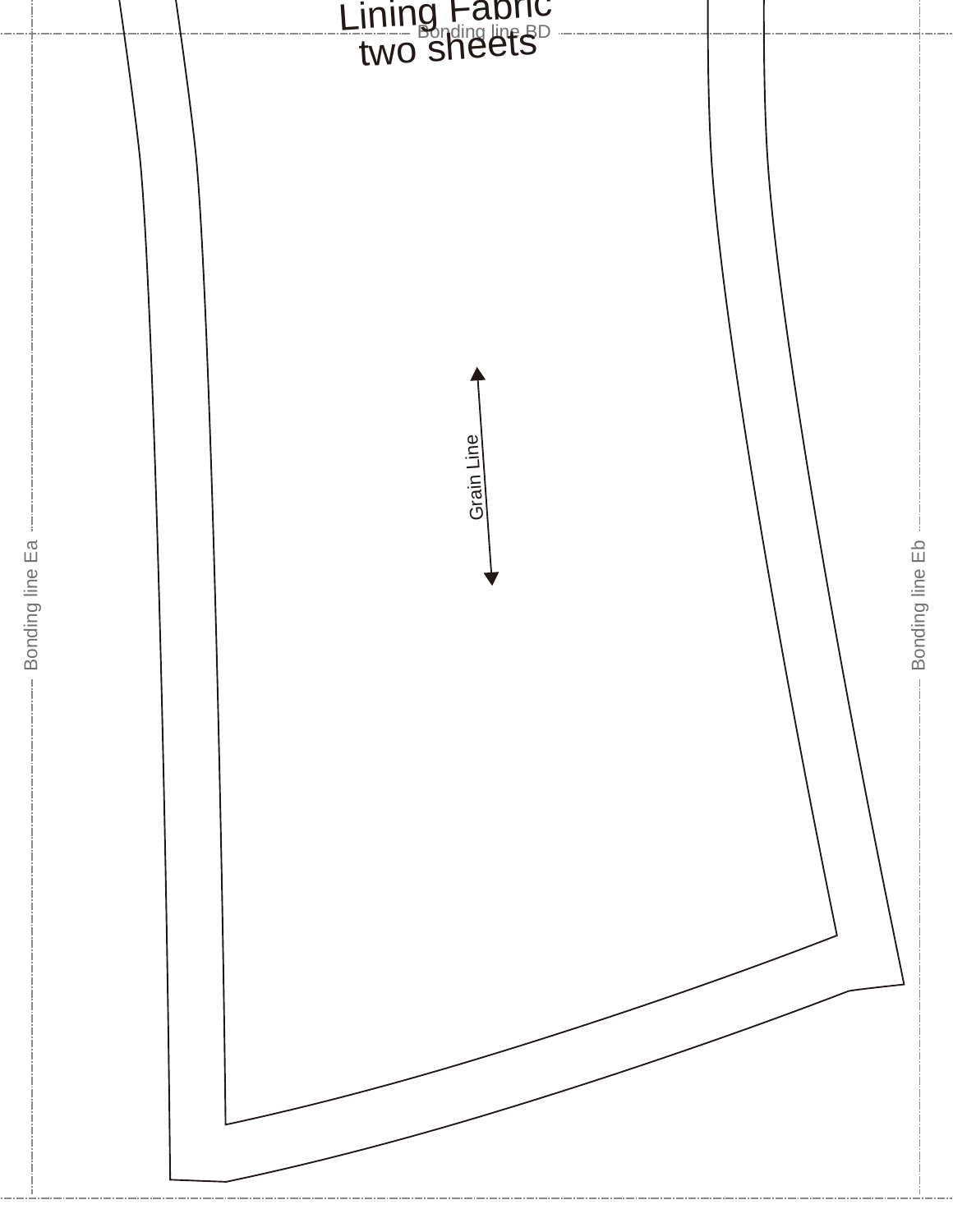![](_page_9_Picture_0.jpeg)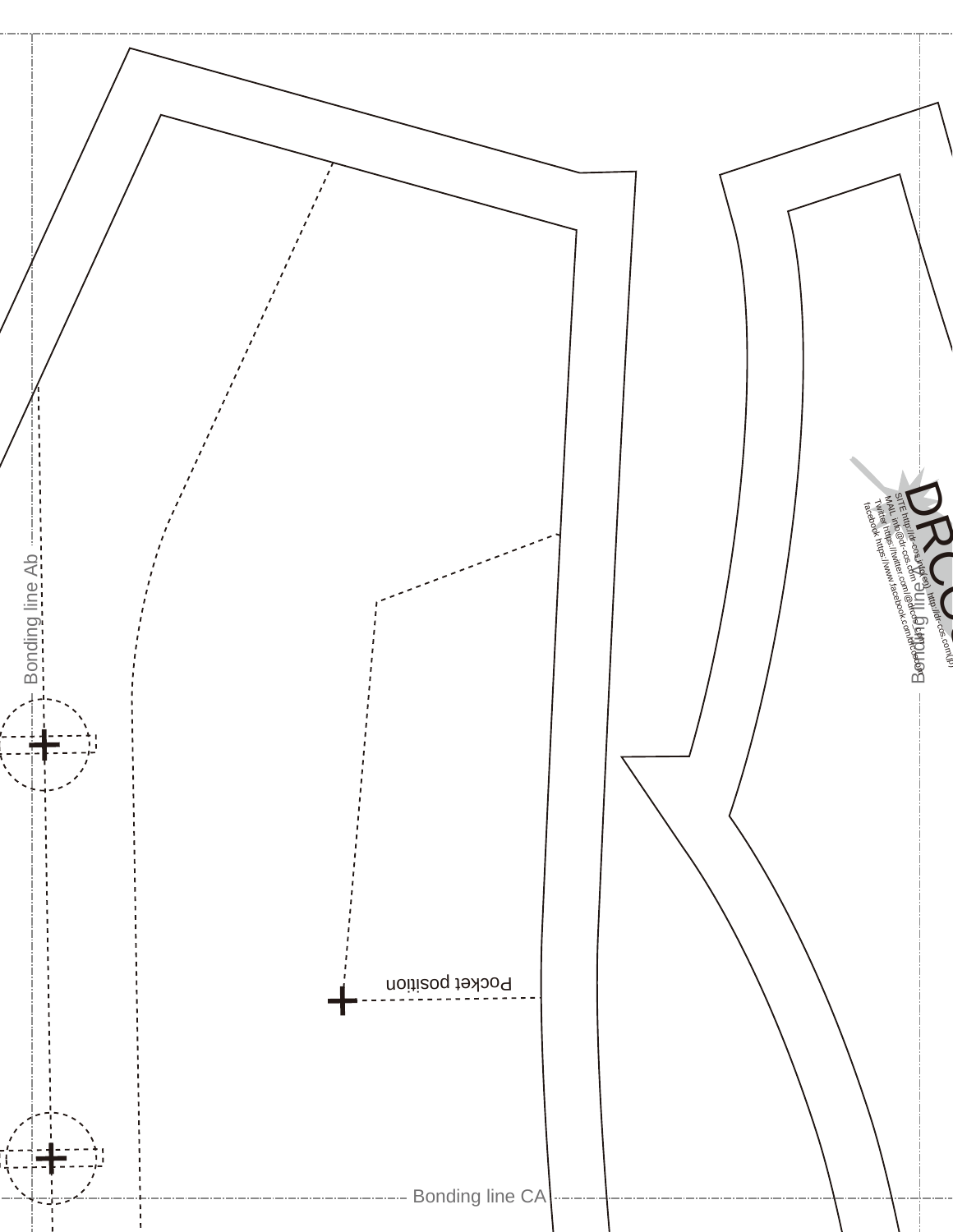![](_page_10_Figure_0.jpeg)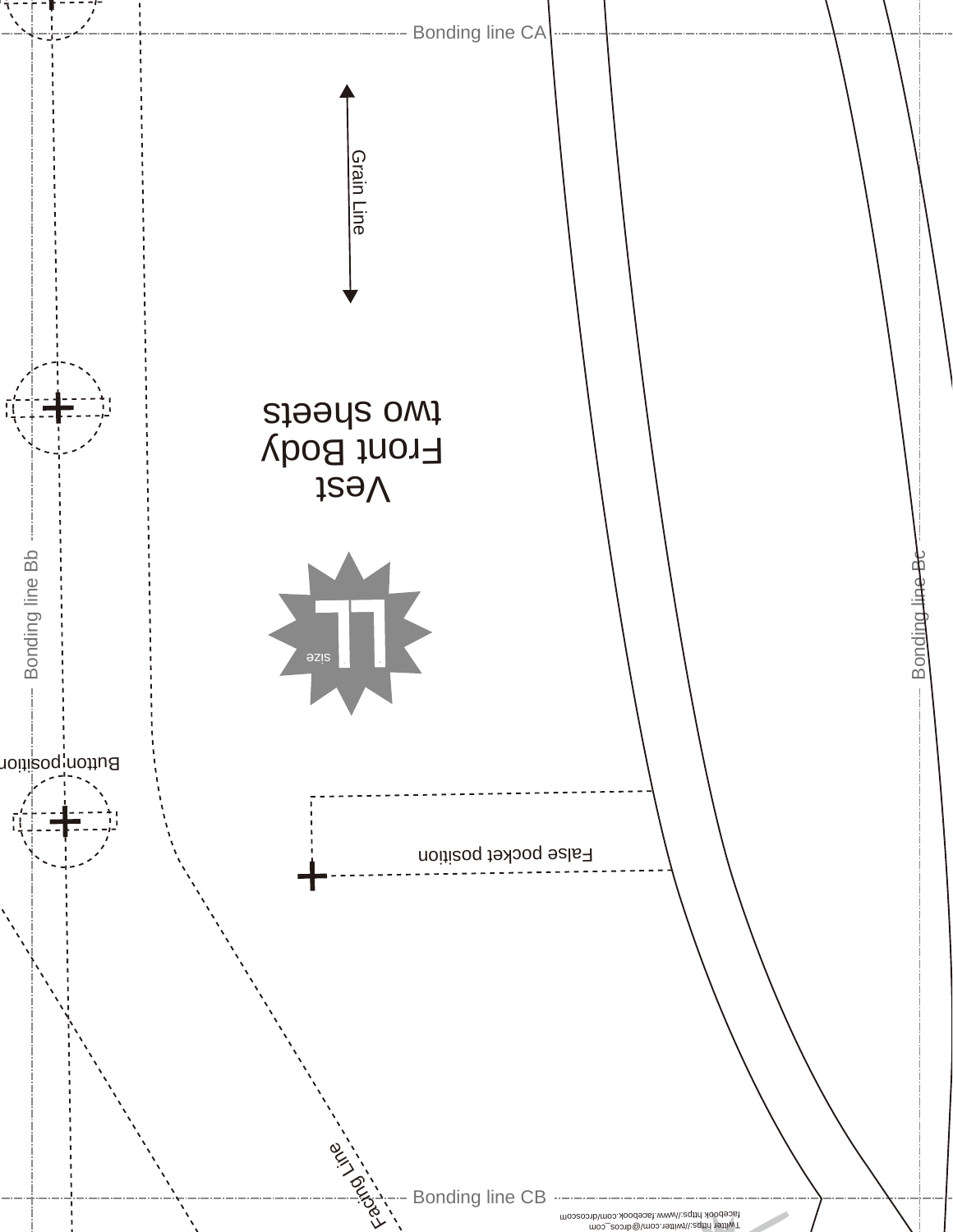![](_page_11_Figure_0.jpeg)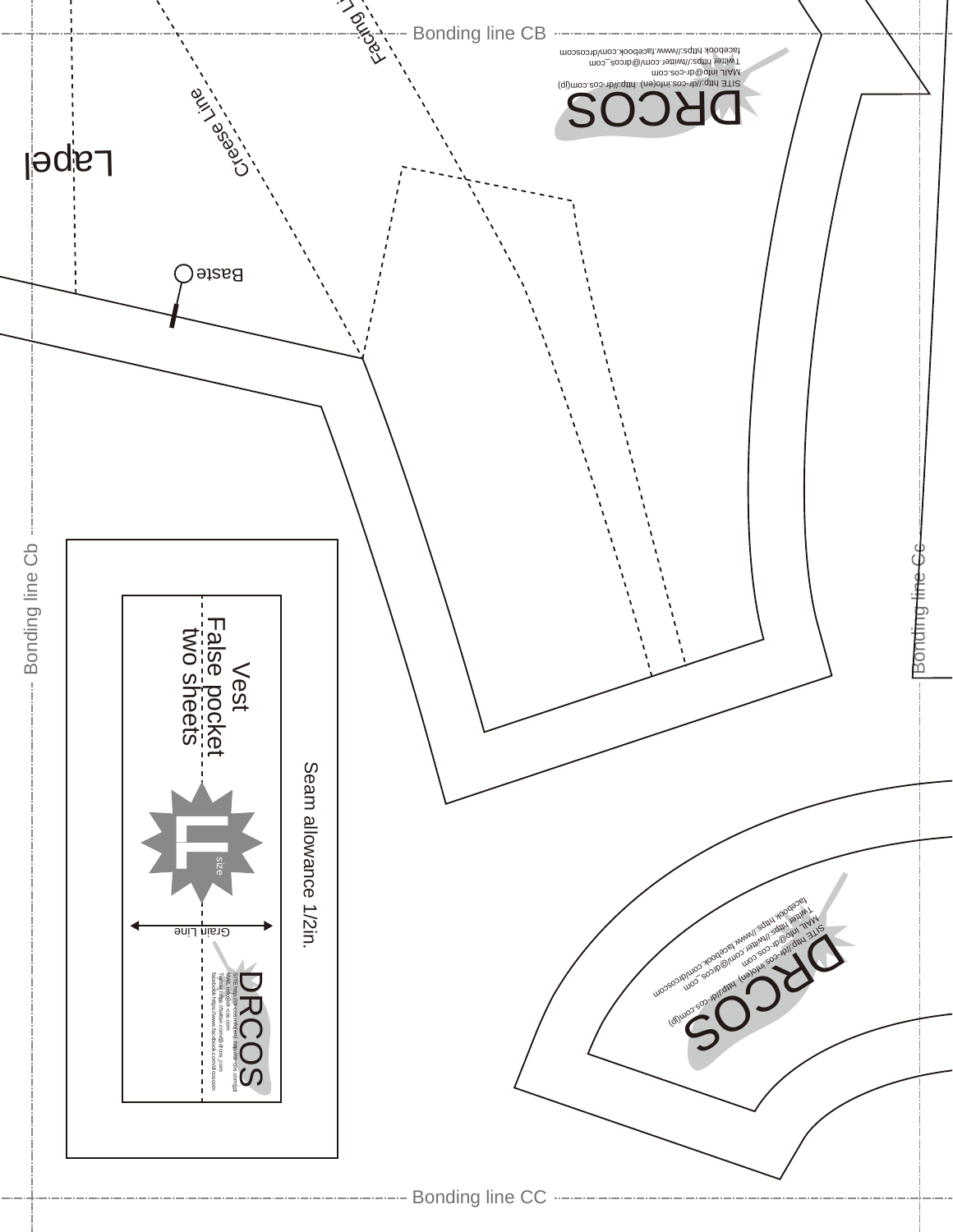![](_page_12_Figure_0.jpeg)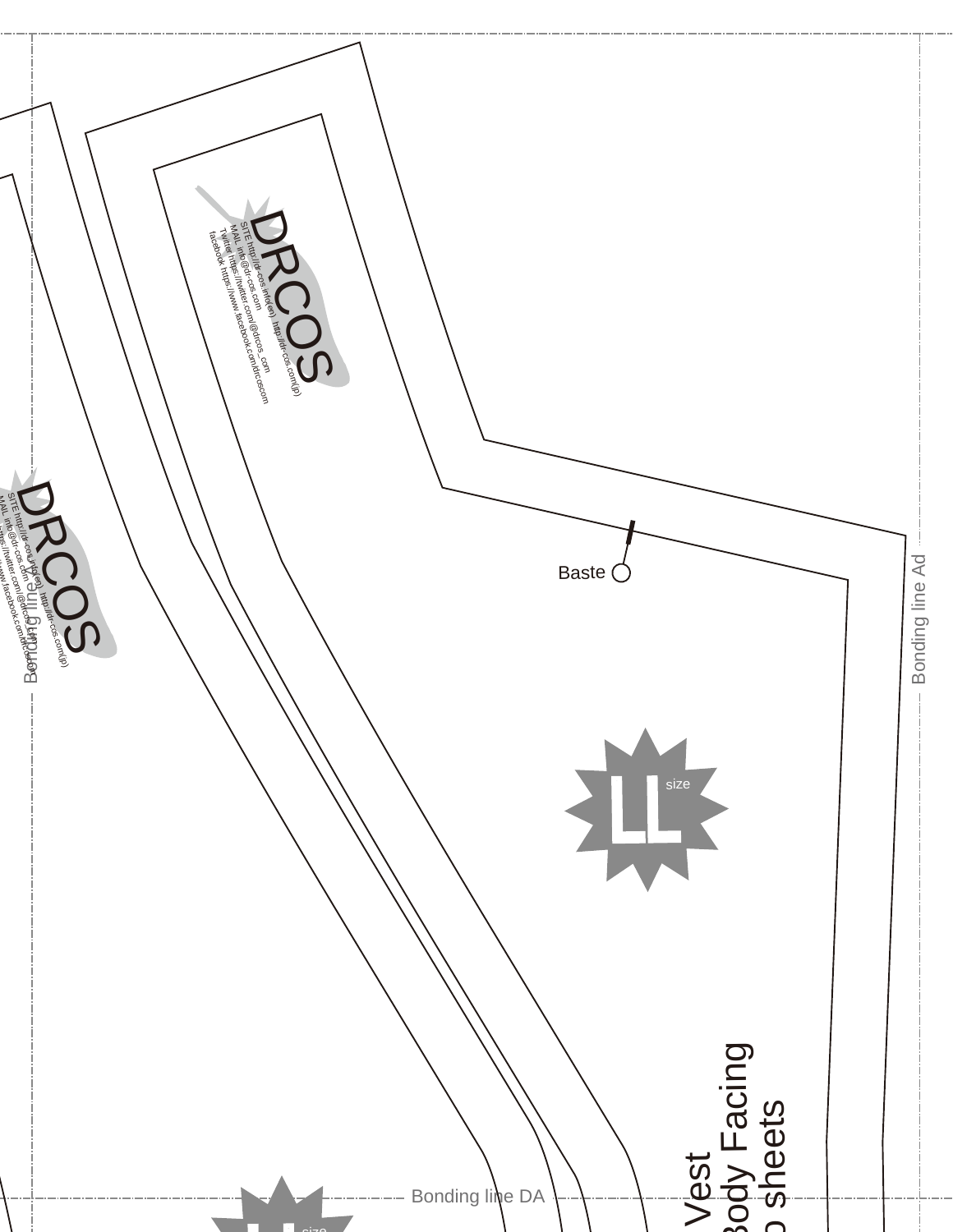![](_page_13_Picture_0.jpeg)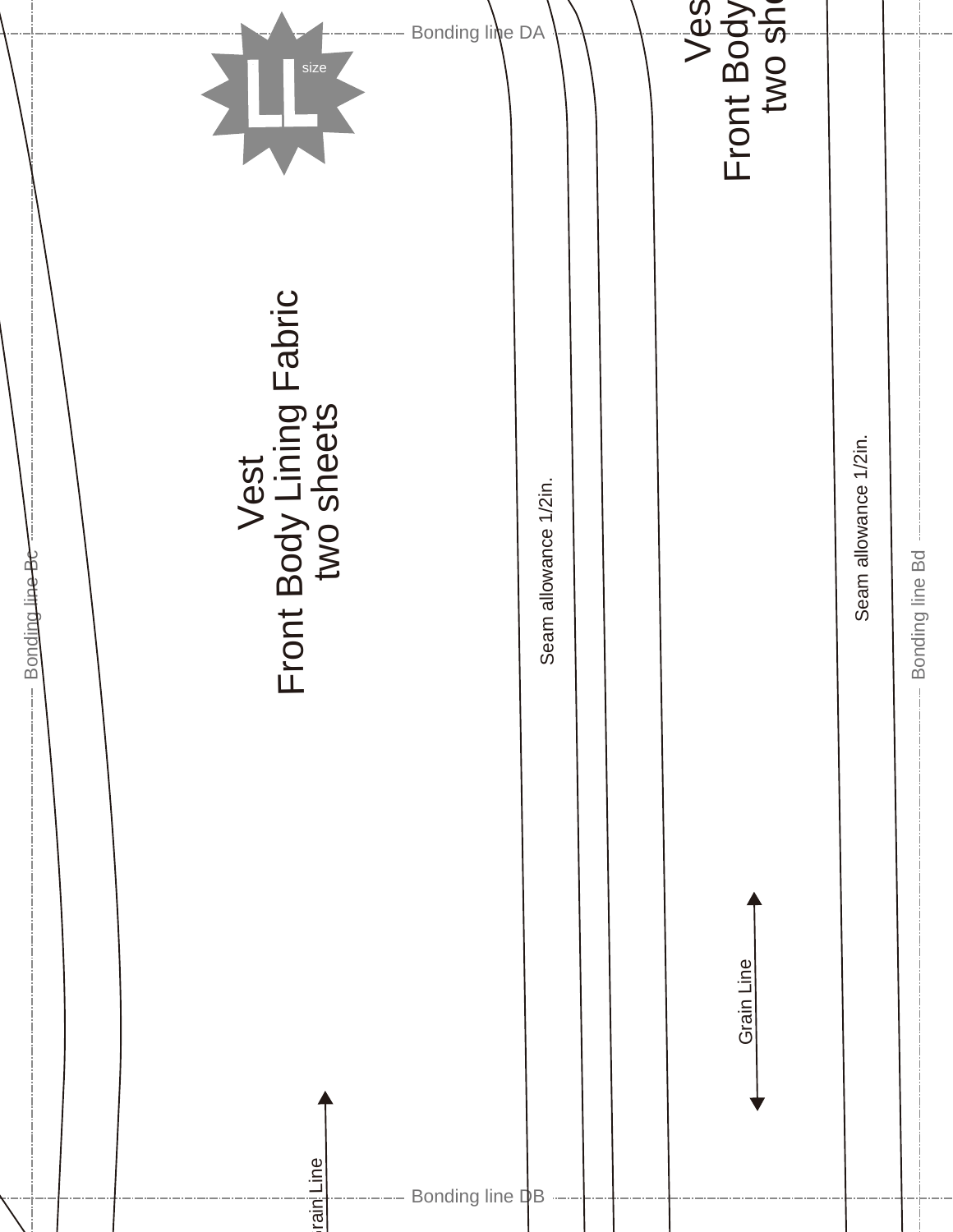![](_page_14_Figure_0.jpeg)